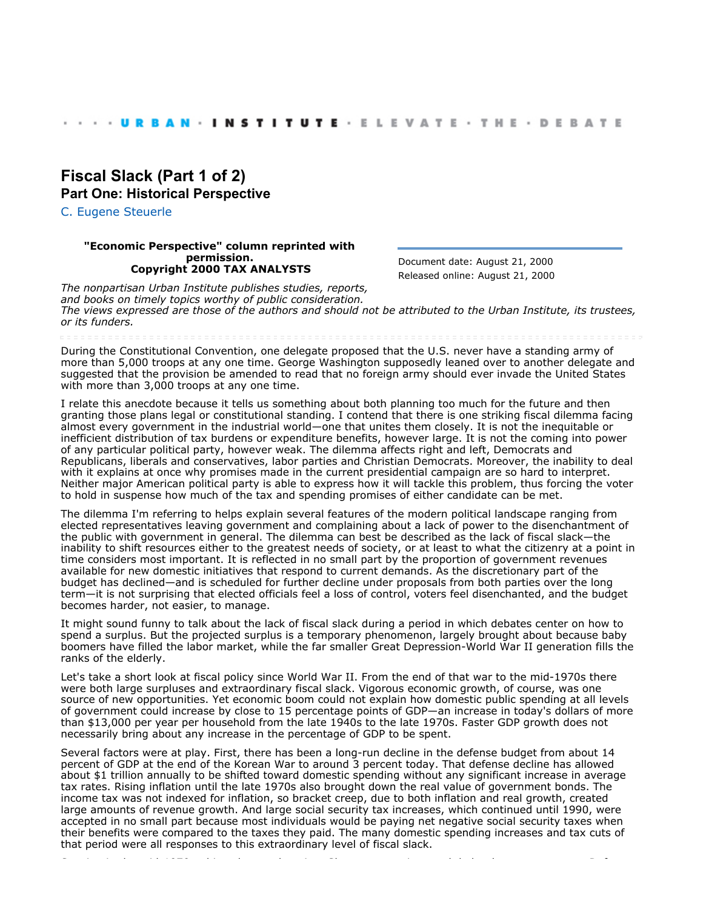## **[Fiscal Slack \(Part 1 of 2\)](http://webarchive.urban.org/index.cfm) Part One: Historical Perspective**

[C. Eugene Steuerle](http://www.urban.org/CEugeneSteuerle)

## **"Economic Perspective" column reprinted with permission. Copyright 2000 TAX ANALYSTS**

Document date: August 21, 2000 Released online: August 21, 2000

*The nonpartisan Urban Institute publishes studies, reports, and books on timely topics worthy of public consideration. The views expressed are those of the authors and should not be attributed to the Urban Institute, its trustees, or its funders.*

During the Constitutional Convention, one delegate proposed that the U.S. never have a standing army of more than 5,000 troops at any one time. George Washington supposedly leaned over to another delegate and suggested that the provision be amended to read that no foreign army should ever invade the United States with more than 3,000 troops at any one time.

I relate this anecdote because it tells us something about both planning too much for the future and then granting those plans legal or constitutional standing. I contend that there is one striking fiscal dilemma facing almost every government in the industrial world—one that unites them closely. It is not the inequitable or inefficient distribution of tax burdens or expenditure benefits, however large. It is not the coming into power of any particular political party, however weak. The dilemma affects right and left, Democrats and Republicans, liberals and conservatives, labor parties and Christian Democrats. Moreover, the inability to deal with it explains at once why promises made in the current presidential campaign are so hard to interpret. Neither major American political party is able to express how it will tackle this problem, thus forcing the voter to hold in suspense how much of the tax and spending promises of either candidate can be met.

The dilemma I'm referring to helps explain several features of the modern political landscape ranging from elected representatives leaving government and complaining about a lack of power to the disenchantment of the public with government in general. The dilemma can best be described as the lack of fiscal slack—the inability to shift resources either to the greatest needs of society, or at least to what the citizenry at a point in time considers most important. It is reflected in no small part by the proportion of government revenues available for new domestic initiatives that respond to current demands. As the discretionary part of the budget has declined—and is scheduled for further decline under proposals from both parties over the long term—it is not surprising that elected officials feel a loss of control, voters feel disenchanted, and the budget becomes harder, not easier, to manage.

It might sound funny to talk about the lack of fiscal slack during a period in which debates center on how to spend a surplus. But the projected surplus is a temporary phenomenon, largely brought about because baby boomers have filled the labor market, while the far smaller Great Depression-World War II generation fills the ranks of the elderly.

Let's take a short look at fiscal policy since World War II. From the end of that war to the mid-1970s there were both large surpluses and extraordinary fiscal slack. Vigorous economic growth, of course, was one source of new opportunities. Yet economic boom could not explain how domestic public spending at all levels of government could increase by close to 15 percentage points of GDP—an increase in today's dollars of more than \$13,000 per year per household from the late 1940s to the late 1970s. Faster GDP growth does not necessarily bring about any increase in the percentage of GDP to be spent.

Several factors were at play. First, there has been a long-run decline in the defense budget from about 14 percent of GDP at the end of the Korean War to around 3 percent today. That defense decline has allowed about \$1 trillion annually to be shifted toward domestic spending without any significant increase in average tax rates. Rising inflation until the late 1970s also brought down the real value of government bonds. The income tax was not indexed for inflation, so bracket creep, due to both inflation and real growth, created large amounts of revenue growth. And large social security tax increases, which continued until 1990, were accepted in no small part because most individuals would be paying net negative social security taxes when their benefits were compared to the taxes they paid. The many domestic spending increases and tax cuts of that period were all responses to this extraordinary level of fiscal slack.

Starting in the mid-1970s, things began changing. Slower economic growth led to less new revenue. Defense